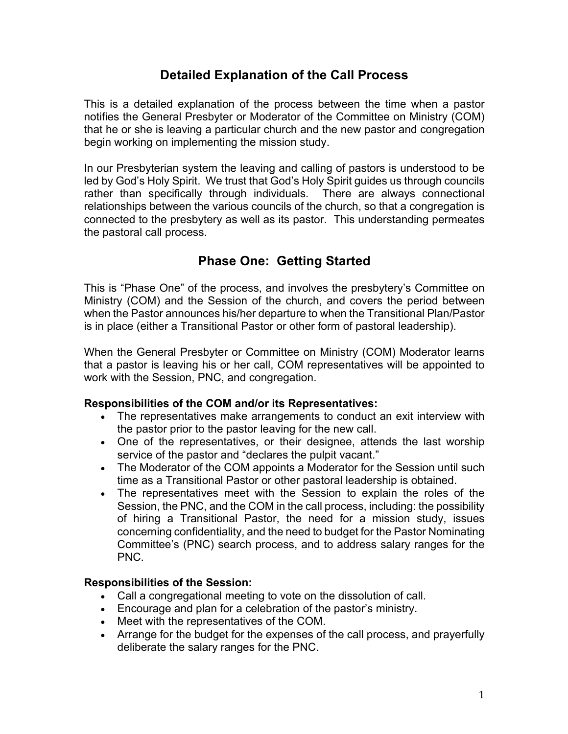# **Detailed Explanation of the Call Process**

This is a detailed explanation of the process between the time when a pastor notifies the General Presbyter or Moderator of the Committee on Ministry (COM) that he or she is leaving a particular church and the new pastor and congregation begin working on implementing the mission study.

In our Presbyterian system the leaving and calling of pastors is understood to be led by God's Holy Spirit. We trust that God's Holy Spirit guides us through councils rather than specifically through individuals. There are always connectional relationships between the various councils of the church, so that a congregation is connected to the presbytery as well as its pastor. This understanding permeates the pastoral call process.

## **Phase One: Getting Started**

This is "Phase One" of the process, and involves the presbytery's Committee on Ministry (COM) and the Session of the church, and covers the period between when the Pastor announces his/her departure to when the Transitional Plan/Pastor is in place (either a Transitional Pastor or other form of pastoral leadership).

When the General Presbyter or Committee on Ministry (COM) Moderator learns that a pastor is leaving his or her call, COM representatives will be appointed to work with the Session, PNC, and congregation.

### **Responsibilities of the COM and/or its Representatives:**

- The representatives make arrangements to conduct an exit interview with the pastor prior to the pastor leaving for the new call.
- One of the representatives, or their designee, attends the last worship service of the pastor and "declares the pulpit vacant."
- The Moderator of the COM appoints a Moderator for the Session until such time as a Transitional Pastor or other pastoral leadership is obtained.
- The representatives meet with the Session to explain the roles of the Session, the PNC, and the COM in the call process, including: the possibility of hiring a Transitional Pastor, the need for a mission study, issues concerning confidentiality, and the need to budget for the Pastor Nominating Committee's (PNC) search process, and to address salary ranges for the PNC.

### **Responsibilities of the Session:**

- Call a congregational meeting to vote on the dissolution of call.
- Encourage and plan for a celebration of the pastor's ministry.
- Meet with the representatives of the COM.
- Arrange for the budget for the expenses of the call process, and prayerfully deliberate the salary ranges for the PNC.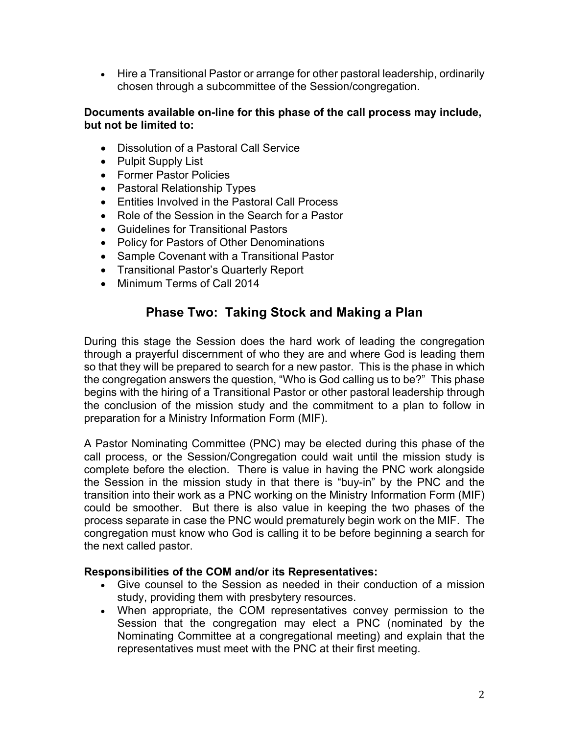• Hire a Transitional Pastor or arrange for other pastoral leadership, ordinarily chosen through a subcommittee of the Session/congregation.

### **Documents available on-line for this phase of the call process may include, but not be limited to:**

- Dissolution of a Pastoral Call Service
- Pulpit Supply List
- Former Pastor Policies
- Pastoral Relationship Types
- Entities Involved in the Pastoral Call Process
- Role of the Session in the Search for a Pastor
- Guidelines for Transitional Pastors
- Policy for Pastors of Other Denominations
- Sample Covenant with a Transitional Pastor
- Transitional Pastor's Quarterly Report
- Minimum Terms of Call 2014

## **Phase Two: Taking Stock and Making a Plan**

During this stage the Session does the hard work of leading the congregation through a prayerful discernment of who they are and where God is leading them so that they will be prepared to search for a new pastor. This is the phase in which the congregation answers the question, "Who is God calling us to be?" This phase begins with the hiring of a Transitional Pastor or other pastoral leadership through the conclusion of the mission study and the commitment to a plan to follow in preparation for a Ministry Information Form (MIF).

A Pastor Nominating Committee (PNC) may be elected during this phase of the call process, or the Session/Congregation could wait until the mission study is complete before the election. There is value in having the PNC work alongside the Session in the mission study in that there is "buy-in" by the PNC and the transition into their work as a PNC working on the Ministry Information Form (MIF) could be smoother. But there is also value in keeping the two phases of the process separate in case the PNC would prematurely begin work on the MIF. The congregation must know who God is calling it to be before beginning a search for the next called pastor.

### **Responsibilities of the COM and/or its Representatives:**

- Give counsel to the Session as needed in their conduction of a mission study, providing them with presbytery resources.
- When appropriate, the COM representatives convey permission to the Session that the congregation may elect a PNC (nominated by the Nominating Committee at a congregational meeting) and explain that the representatives must meet with the PNC at their first meeting.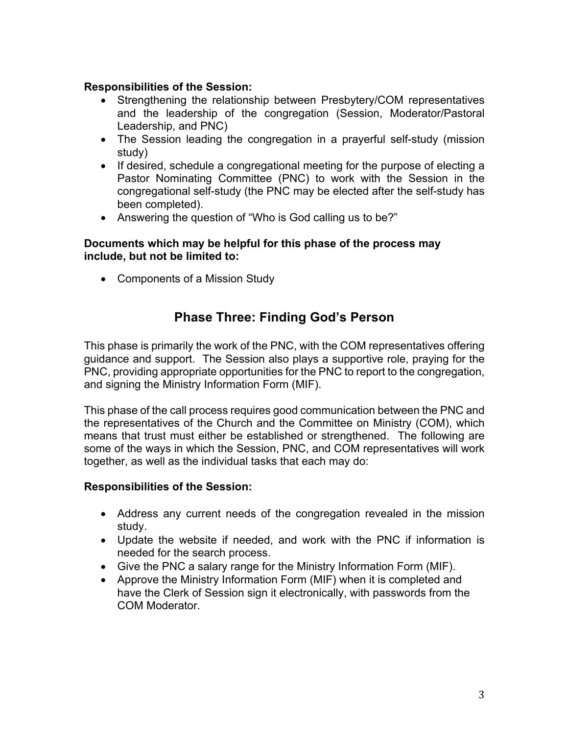### **Responsibilities of the Session:**

- Strengthening the relationship between Presbytery/COM representatives and the leadership of the congregation (Session, Moderator/Pastoral Leadership, and PNC)
- The Session leading the congregation in a prayerful self-study (mission study)
- If desired, schedule a congregational meeting for the purpose of electing a Pastor Nominating Committee (PNC) to work with the Session in the congregational self-study (the PNC may be elected after the self-study has been completed).
- Answering the question of "Who is God calling us to be?"

#### **Documents which may be helpful for this phase of the process may include, but not be limited to:**

• Components of a Mission Study

# **Phase Three: Finding God's Person**

This phase is primarily the work of the PNC, with the COM representatives offering guidance and support. The Session also plays a supportive role, praying for the PNC, providing appropriate opportunities for the PNC to report to the congregation, and signing the Ministry Information Form (MIF).

This phase of the call process requires good communication between the PNC and the representatives of the Church and the Committee on Ministry (COM), which means that trust must either be established or strengthened. The following are some of the ways in which the Session, PNC, and COM representatives will work together, as well as the individual tasks that each may do:

### **Responsibilities of the Session:**

- Address any current needs of the congregation revealed in the mission study.
- Update the website if needed, and work with the PNC if information is needed for the search process.
- Give the PNC a salary range for the Ministry Information Form (MIF).
- Approve the Ministry Information Form (MIF) when it is completed and have the Clerk of Session sign it electronically, with passwords from the COM Moderator.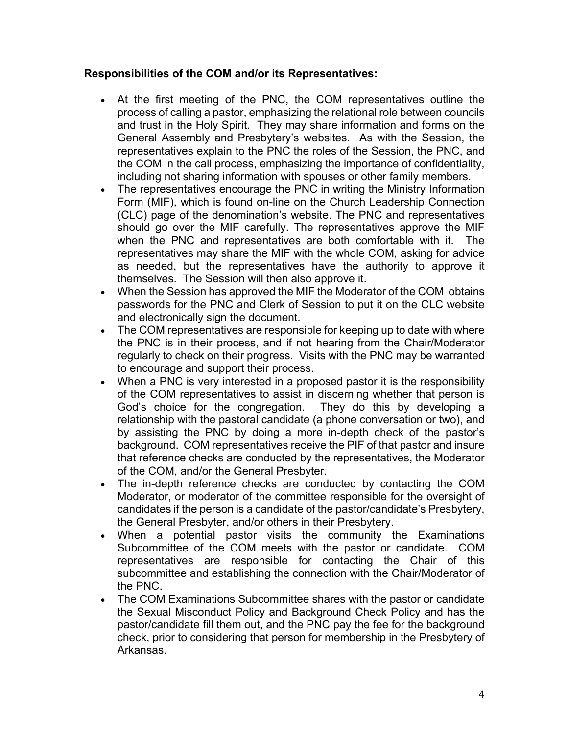### **Responsibilities of the COM and/or its Representatives:**

- At the first meeting of the PNC, the COM representatives outline the process of calling a pastor, emphasizing the relational role between councils and trust in the Holy Spirit. They may share information and forms on the General Assembly and Presbytery's websites. As with the Session, the representatives explain to the PNC the roles of the Session, the PNC, and the COM in the call process, emphasizing the importance of confidentiality, including not sharing information with spouses or other family members.
- The representatives encourage the PNC in writing the Ministry Information Form (MIF), which is found on-line on the Church Leadership Connection (CLC) page of the denomination's website. The PNC and representatives should go over the MIF carefully. The representatives approve the MIF when the PNC and representatives are both comfortable with it. The representatives may share the MIF with the whole COM, asking for advice as needed, but the representatives have the authority to approve it themselves. The Session will then also approve it.
- When the Session has approved the MIF the Moderator of the COM obtains passwords for the PNC and Clerk of Session to put it on the CLC website and electronically sign the document.
- The COM representatives are responsible for keeping up to date with where the PNC is in their process, and if not hearing from the Chair/Moderator regularly to check on their progress. Visits with the PNC may be warranted to encourage and support their process.
- When a PNC is very interested in a proposed pastor it is the responsibility of the COM representatives to assist in discerning whether that person is God's choice for the congregation. They do this by developing a relationship with the pastoral candidate (a phone conversation or two), and by assisting the PNC by doing a more in-depth check of the pastor's background. COM representatives receive the PIF of that pastor and insure that reference checks are conducted by the representatives, the Moderator of the COM, and/or the General Presbyter.
- The in-depth reference checks are conducted by contacting the COM Moderator, or moderator of the committee responsible for the oversight of candidates if the person is a candidate of the pastor/candidate's Presbytery, the General Presbyter, and/or others in their Presbytery.
- When a potential pastor visits the community the Examinations Subcommittee of the COM meets with the pastor or candidate. COM representatives are responsible for contacting the Chair of this subcommittee and establishing the connection with the Chair/Moderator of the PNC.
- The COM Examinations Subcommittee shares with the pastor or candidate the Sexual Misconduct Policy and Background Check Policy and has the pastor/candidate fill them out, and the PNC pay the fee for the background check, prior to considering that person for membership in the Presbytery of Arkansas.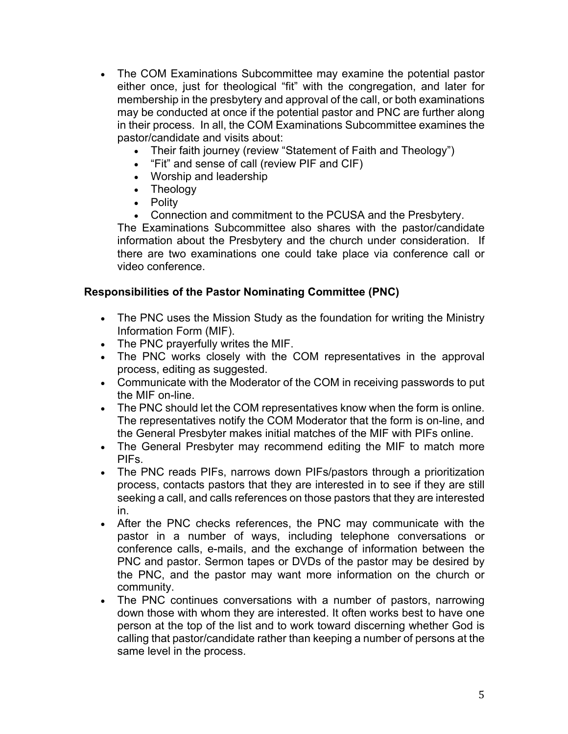- The COM Examinations Subcommittee may examine the potential pastor either once, just for theological "fit" with the congregation, and later for membership in the presbytery and approval of the call, or both examinations may be conducted at once if the potential pastor and PNC are further along in their process. In all, the COM Examinations Subcommittee examines the pastor/candidate and visits about:
	- Their faith journey (review "Statement of Faith and Theology")
	- "Fit" and sense of call (review PIF and CIF)
	- Worship and leadership
	- Theology
	- Polity
	- Connection and commitment to the PCUSA and the Presbytery.

The Examinations Subcommittee also shares with the pastor/candidate information about the Presbytery and the church under consideration. If there are two examinations one could take place via conference call or video conference.

### **Responsibilities of the Pastor Nominating Committee (PNC)**

- The PNC uses the Mission Study as the foundation for writing the Ministry Information Form (MIF).
- The PNC prayerfully writes the MIF.
- The PNC works closely with the COM representatives in the approval process, editing as suggested.
- Communicate with the Moderator of the COM in receiving passwords to put the MIF on-line.
- The PNC should let the COM representatives know when the form is online. The representatives notify the COM Moderator that the form is on-line, and the General Presbyter makes initial matches of the MIF with PIFs online.
- The General Presbyter may recommend editing the MIF to match more PIFs.
- The PNC reads PIFs, narrows down PIFs/pastors through a prioritization process, contacts pastors that they are interested in to see if they are still seeking a call, and calls references on those pastors that they are interested in.
- After the PNC checks references, the PNC may communicate with the pastor in a number of ways, including telephone conversations or conference calls, e-mails, and the exchange of information between the PNC and pastor. Sermon tapes or DVDs of the pastor may be desired by the PNC, and the pastor may want more information on the church or community.
- The PNC continues conversations with a number of pastors, narrowing down those with whom they are interested. It often works best to have one person at the top of the list and to work toward discerning whether God is calling that pastor/candidate rather than keeping a number of persons at the same level in the process.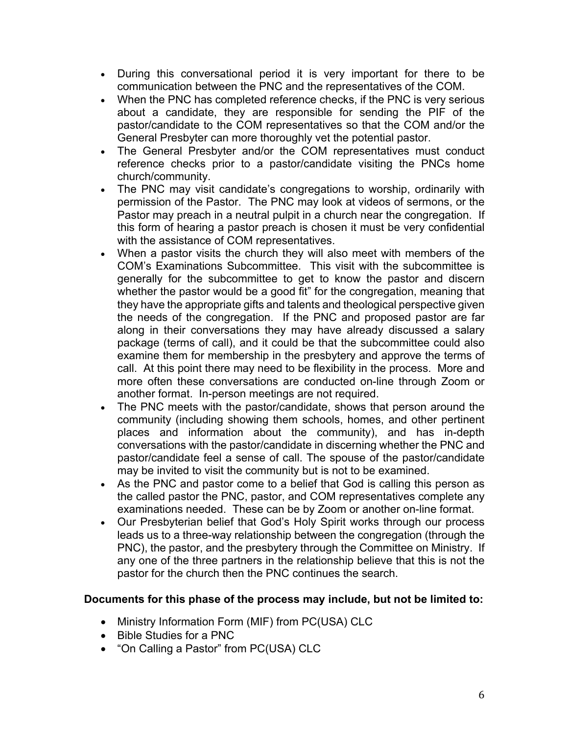- During this conversational period it is very important for there to be communication between the PNC and the representatives of the COM.
- When the PNC has completed reference checks, if the PNC is very serious about a candidate, they are responsible for sending the PIF of the pastor/candidate to the COM representatives so that the COM and/or the General Presbyter can more thoroughly vet the potential pastor.
- The General Presbyter and/or the COM representatives must conduct reference checks prior to a pastor/candidate visiting the PNCs home church/community.
- The PNC may visit candidate's congregations to worship, ordinarily with permission of the Pastor. The PNC may look at videos of sermons, or the Pastor may preach in a neutral pulpit in a church near the congregation. If this form of hearing a pastor preach is chosen it must be very confidential with the assistance of COM representatives.
- When a pastor visits the church they will also meet with members of the COM's Examinations Subcommittee. This visit with the subcommittee is generally for the subcommittee to get to know the pastor and discern whether the pastor would be a good fit" for the congregation, meaning that they have the appropriate gifts and talents and theological perspective given the needs of the congregation. If the PNC and proposed pastor are far along in their conversations they may have already discussed a salary package (terms of call), and it could be that the subcommittee could also examine them for membership in the presbytery and approve the terms of call. At this point there may need to be flexibility in the process. More and more often these conversations are conducted on-line through Zoom or another format. In-person meetings are not required.
- The PNC meets with the pastor/candidate, shows that person around the community (including showing them schools, homes, and other pertinent places and information about the community), and has in-depth conversations with the pastor/candidate in discerning whether the PNC and pastor/candidate feel a sense of call. The spouse of the pastor/candidate may be invited to visit the community but is not to be examined.
- As the PNC and pastor come to a belief that God is calling this person as the called pastor the PNC, pastor, and COM representatives complete any examinations needed. These can be by Zoom or another on-line format.
- Our Presbyterian belief that God's Holy Spirit works through our process leads us to a three-way relationship between the congregation (through the PNC), the pastor, and the presbytery through the Committee on Ministry. If any one of the three partners in the relationship believe that this is not the pastor for the church then the PNC continues the search.

### **Documents for this phase of the process may include, but not be limited to:**

- Ministry Information Form (MIF) from PC(USA) CLC
- Bible Studies for a PNC
- "On Calling a Pastor" from PC(USA) CLC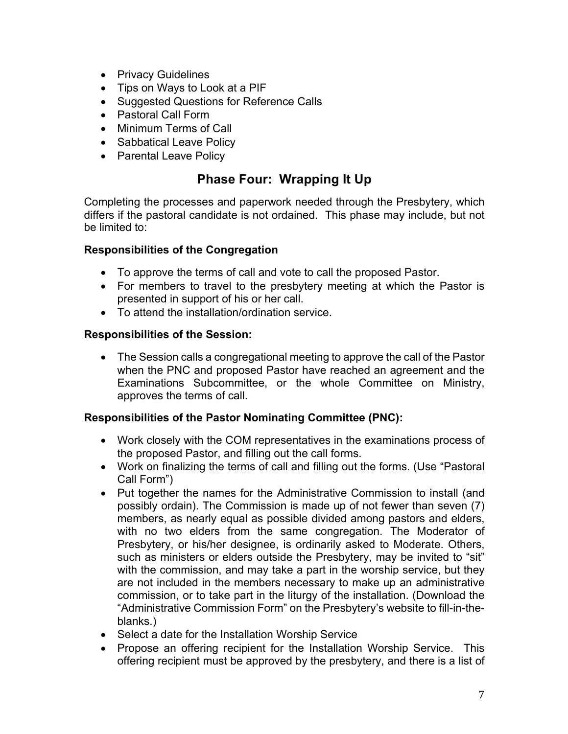- Privacy Guidelines
- Tips on Ways to Look at a PIF
- Suggested Questions for Reference Calls
- Pastoral Call Form
- Minimum Terms of Call
- Sabbatical Leave Policy
- Parental Leave Policy

## **Phase Four: Wrapping It Up**

Completing the processes and paperwork needed through the Presbytery, which differs if the pastoral candidate is not ordained. This phase may include, but not be limited to:

### **Responsibilities of the Congregation**

- To approve the terms of call and vote to call the proposed Pastor.
- For members to travel to the presbytery meeting at which the Pastor is presented in support of his or her call.
- To attend the installation/ordination service.

### **Responsibilities of the Session:**

• The Session calls a congregational meeting to approve the call of the Pastor when the PNC and proposed Pastor have reached an agreement and the Examinations Subcommittee, or the whole Committee on Ministry, approves the terms of call.

### **Responsibilities of the Pastor Nominating Committee (PNC):**

- Work closely with the COM representatives in the examinations process of the proposed Pastor, and filling out the call forms.
- Work on finalizing the terms of call and filling out the forms. (Use "Pastoral Call Form")
- Put together the names for the Administrative Commission to install (and possibly ordain). The Commission is made up of not fewer than seven (7) members, as nearly equal as possible divided among pastors and elders, with no two elders from the same congregation. The Moderator of Presbytery, or his/her designee, is ordinarily asked to Moderate. Others, such as ministers or elders outside the Presbytery, may be invited to "sit" with the commission, and may take a part in the worship service, but they are not included in the members necessary to make up an administrative commission, or to take part in the liturgy of the installation. (Download the "Administrative Commission Form" on the Presbytery's website to fill-in-theblanks.)
- Select a date for the Installation Worship Service
- Propose an offering recipient for the Installation Worship Service. This offering recipient must be approved by the presbytery, and there is a list of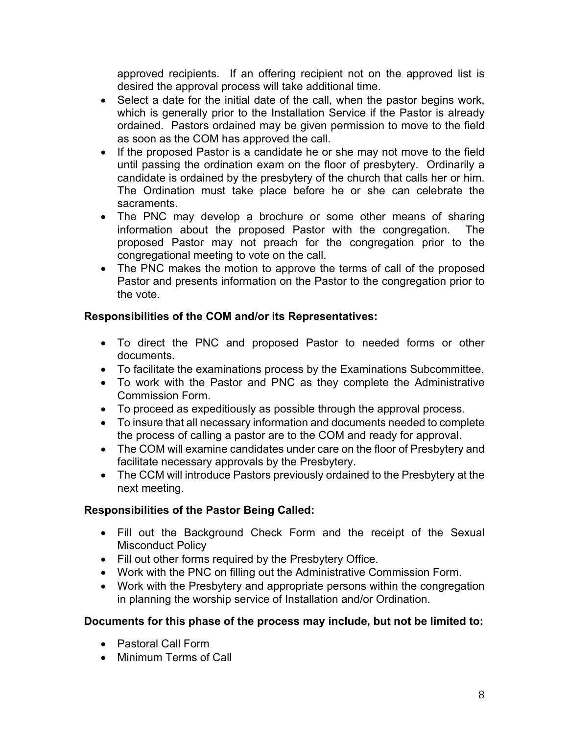approved recipients. If an offering recipient not on the approved list is desired the approval process will take additional time.

- Select a date for the initial date of the call, when the pastor begins work, which is generally prior to the Installation Service if the Pastor is already ordained. Pastors ordained may be given permission to move to the field as soon as the COM has approved the call.
- If the proposed Pastor is a candidate he or she may not move to the field until passing the ordination exam on the floor of presbytery. Ordinarily a candidate is ordained by the presbytery of the church that calls her or him. The Ordination must take place before he or she can celebrate the sacraments.
- The PNC may develop a brochure or some other means of sharing information about the proposed Pastor with the congregation. The proposed Pastor may not preach for the congregation prior to the congregational meeting to vote on the call.
- The PNC makes the motion to approve the terms of call of the proposed Pastor and presents information on the Pastor to the congregation prior to the vote.

### **Responsibilities of the COM and/or its Representatives:**

- To direct the PNC and proposed Pastor to needed forms or other documents.
- To facilitate the examinations process by the Examinations Subcommittee.
- To work with the Pastor and PNC as they complete the Administrative Commission Form.
- To proceed as expeditiously as possible through the approval process.
- To insure that all necessary information and documents needed to complete the process of calling a pastor are to the COM and ready for approval.
- The COM will examine candidates under care on the floor of Presbytery and facilitate necessary approvals by the Presbytery.
- The CCM will introduce Pastors previously ordained to the Presbytery at the next meeting.

### **Responsibilities of the Pastor Being Called:**

- Fill out the Background Check Form and the receipt of the Sexual Misconduct Policy
- Fill out other forms required by the Presbytery Office.
- Work with the PNC on filling out the Administrative Commission Form.
- Work with the Presbytery and appropriate persons within the congregation in planning the worship service of Installation and/or Ordination.

### **Documents for this phase of the process may include, but not be limited to:**

- Pastoral Call Form
- Minimum Terms of Call